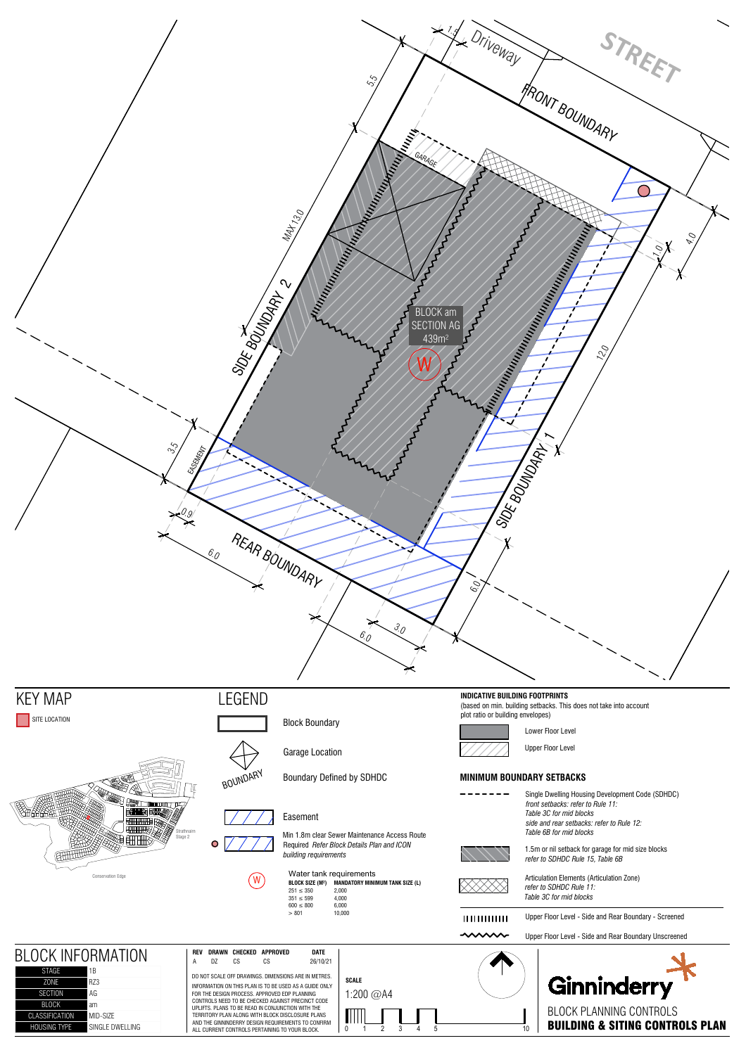